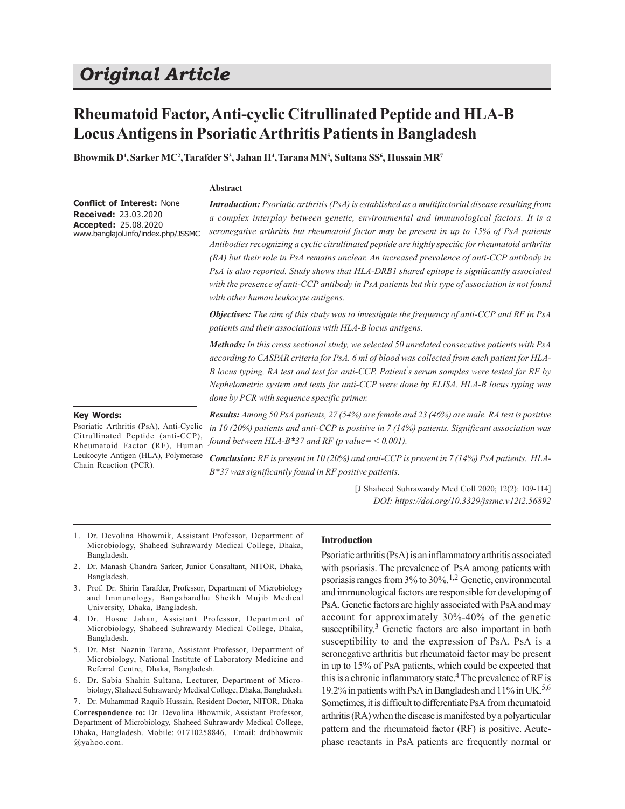# *Original Article*

## **Rheumatoid Factor, Anti-cyclic Citrullinated Peptide and HLA-B Locus Antigens in Psoriatic Arthritis Patients in Bangladesh**

**Bhowmik D<sup>1</sup> ,Sarker MC<sup>2</sup> ,Tarafder S<sup>3</sup> , Jahan H<sup>4</sup> ,Tarana MN<sup>5</sup> , Sultana SS<sup>6</sup> , Hussain MR<sup>7</sup>**

#### **Abstract**

**Conflict of Interest:** None **Received:** 23.03.2020 **Accepted:** 25.08.2020 www.banglajol.info/index.php/JSSMC *Introduction: Psoriatic arthritis (PsA) is established as a multifactorial disease resulting from a complex interplay between genetic, environmental and immunological factors. It is a seronegative arthritis but rheumatoid factor may be present in up to 15% of PsA patients Antibodies recognizing a cyclic citrullinated peptide are highly speciûc for rheumatoid arthritis (RA) but their role in PsA remains unclear. An increased prevalence of anti-CCP antibody in PsA is also reported. Study shows that HLA-DRB1 shared epitope is signiûcantly associated with the presence of anti-CCP antibody in PsA patients but this type of association is not found with other human leukocyte antigens.*

*Objectives: The aim of this study was to investigate the frequency of anti-CCP and RF in PsA patients and their associations with HLA-B locus antigens.*

*Methods: In this cross sectional study, we selected 50 unrelated consecutive patients with PsA according to CASPAR criteria for PsA. 6 ml of blood was collected from each patient for HLA-B locus typing, RA test and test for anti-CCP. Patient' s serum samples were tested for RF by Nephelometric system and tests for anti-CCP were done by ELISA. HLA-B locus typing was done by PCR with sequence specific primer.*

#### **Key Words:**

Psoriatic Arthritis (PsA), Anti-Cyclic Citrullinated Peptide (anti-CCP), Rheumatoid Factor (RF), Human Leukocyte Antigen (HLA), Polymerase Chain Reaction (PCR).

*Results: Among 50 PsA patients, 27 (54%) are female and 23 (46%) are male. RA test is positive in 10 (20%) patients and anti-CCP is positive in 7 (14%) patients. Significant association was found between HLA-B\*37 and RF (p value= < 0.001).*

*Conclusion: RF is present in 10 (20%) and anti-CCP is present in 7 (14%) PsA patients. HLA-B\*37 was significantly found in RF positive patients.*

> [J Shaheed Suhrawardy Med Coll 2020; 12(2): 109-114] *DOI: https://doi.org/10.3329/jssmc.v12i2.56892*

- 1. Dr. Devolina Bhowmik, Assistant Professor, Department of Microbiology, Shaheed Suhrawardy Medical College, Dhaka, Bangladesh.
- 2. Dr. Manash Chandra Sarker, Junior Consultant, NITOR, Dhaka, Bangladesh.
- 3. Prof. Dr. Shirin Tarafder, Professor, Department of Microbiology and Immunology, Bangabandhu Sheikh Mujib Medical University, Dhaka, Bangladesh.
- 4. Dr. Hosne Jahan, Assistant Professor, Department of Microbiology, Shaheed Suhrawardy Medical College, Dhaka, Bangladesh.
- 5. Dr. Mst. Naznin Tarana, Assistant Professor, Department of Microbiology, National Institute of Laboratory Medicine and Referral Centre, Dhaka, Bangladesh.
- 6. Dr. Sabia Shahin Sultana, Lecturer, Department of Microbiology, Shaheed Suhrawardy Medical College, Dhaka, Bangladesh.

7. Dr. Muhammad Raquib Hussain, Resident Doctor, NITOR, Dhaka **Correspondence to:** Dr. Devolina Bhowmik, Assistant Professor, Department of Microbiology, Shaheed Suhrawardy Medical College, Dhaka, Bangladesh. Mobile: 01710258846, Email: drdbhowmik @yahoo.com.

#### **Introduction**

Psoriatic arthritis (PsA) is an inflammatory arthritis associated with psoriasis. The prevalence of PsA among patients with psoriasis ranges from 3% to 30%.1,2 Genetic, environmental and immunological factors are responsible for developing of PsA. Genetic factors are highly associated with PsA and may account for approximately 30%-40% of the genetic susceptibility.<sup>3</sup> Genetic factors are also important in both susceptibility to and the expression of PsA. PsA is a seronegative arthritis but rheumatoid factor may be present in up to 15% of PsA patients, which could be expected that this is a chronic inflammatory state.<sup>4</sup> The prevalence of RF is 19.2% in patients with PsA in Bangladesh and 11% in UK.5,6 Sometimes, it is difficult to differentiate PsA from rheumatoid arthritis (RA) when the disease is manifested by a polyarticular pattern and the rheumatoid factor (RF) is positive. Acutephase reactants in PsA patients are frequently normal or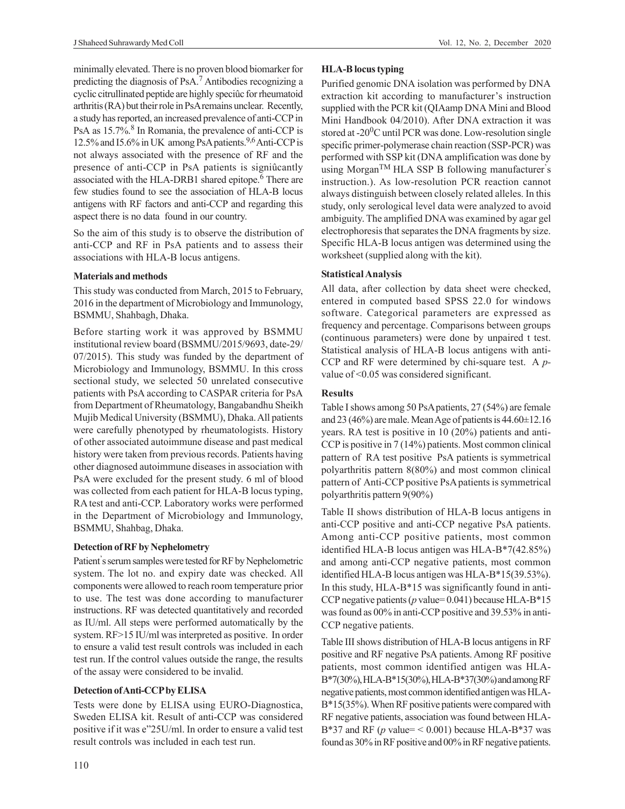J Shaheed Suhrawardy Med Coll Vol. 12, No. 2, December 2020

minimally elevated. There is no proven blood biomarker for predicting the diagnosis of PsA.7 Antibodies recognizing a cyclic citrullinated peptide are highly speciûc for rheumatoid arthritis (RA) but their role in PsA remains unclear. Recently, a study has reported, an increased prevalence of anti-CCP in PsA as 15.7%.<sup>8</sup> In Romania, the prevalence of anti-CCP is 12.5% and I5.6% in UK among PsA patients.<sup>9,6</sup> Anti-CCP is not always associated with the presence of RF and the presence of anti-CCP in PsA patients is signiûcantly associated with the HLA-DRB1 shared epitope.<sup>6</sup> There are few studies found to see the association of HLA-B locus antigens with RF factors and anti-CCP and regarding this aspect there is no data found in our country.

So the aim of this study is to observe the distribution of anti-CCP and RF in PsA patients and to assess their associations with HLA-B locus antigens.

#### **Materials and methods**

This study was conducted from March, 2015 to February, 2016 in the department of Microbiology and Immunology, BSMMU, Shahbagh, Dhaka.

Before starting work it was approved by BSMMU institutional review board (BSMMU/2015/9693, date-29/ 07/2015). This study was funded by the department of Microbiology and Immunology, BSMMU. In this cross sectional study, we selected 50 unrelated consecutive patients with PsA according to CASPAR criteria for PsA from Department of Rheumatology, Bangabandhu Sheikh Mujib Medical University (BSMMU), Dhaka. All patients were carefully phenotyped by rheumatologists. History of other associated autoimmune disease and past medical history were taken from previous records. Patients having other diagnosed autoimmune diseases in association with PsA were excluded for the present study. 6 ml of blood was collected from each patient for HLA-B locus typing, RA test and anti-CCP. Laboratory works were performed in the Department of Microbiology and Immunology, BSMMU, Shahbag, Dhaka.

## **Detection of RF by Nephelometry**

Patient' s serum samples were tested for RF by Nephelometric system. The lot no. and expiry date was checked. All components were allowed to reach room temperature prior to use. The test was done according to manufacturer instructions. RF was detected quantitatively and recorded as IU/ml. All steps were performed automatically by the system. RF>15 IU/ml was interpreted as positive. In order to ensure a valid test result controls was included in each test run. If the control values outside the range, the results of the assay were considered to be invalid.

## **Detection of Anti-CCP by ELISA**

Tests were done by ELISA using EURO-Diagnostica, Sweden ELISA kit. Result of anti-CCP was considered positive if it was e"25U/ml. In order to ensure a valid test result controls was included in each test run.

## **HLA-B locus typing**

Purified genomic DNA isolation was performed by DNA extraction kit according to manufacturer's instruction supplied with the PCR kit (QIAamp DNA Mini and Blood Mini Handbook 04/2010). After DNA extraction it was stored at  $-20^0C$  until PCR was done. Low-resolution single specific primer-polymerase chain reaction (SSP-PCR) was performed with SSP kit (DNA amplification was done by using Morgan<sup>TM</sup> HLA SSP B following manufacturer's instruction.). As low-resolution PCR reaction cannot always distinguish between closely related alleles. In this study, only serological level data were analyzed to avoid ambiguity. The amplified DNA was examined by agar gel electrophoresis that separates the DNA fragments by size. Specific HLA-B locus antigen was determined using the worksheet (supplied along with the kit).

## **Statistical Analysis**

All data, after collection by data sheet were checked, entered in computed based SPSS 22.0 for windows software. Categorical parameters are expressed as frequency and percentage. Comparisons between groups (continuous parameters) were done by unpaired t test. Statistical analysis of HLA-B locus antigens with anti-CCP and RF were determined by chi-square test. A *p*value of <0.05 was considered significant.

## **Results**

Table I shows among 50 PsA patients, 27 (54%) are female and 23 (46%) are male. Mean Age of patients is  $44.60 \pm 12.16$ years. RA test is positive in 10 (20%) patients and anti-CCP is positive in 7 (14%) patients. Most common clinical pattern of RA test positive PsA patients is symmetrical polyarthritis pattern 8(80%) and most common clinical pattern of Anti-CCP positive PsA patients is symmetrical polyarthritis pattern 9(90%)

Table II shows distribution of HLA-B locus antigens in anti-CCP positive and anti-CCP negative PsA patients. Among anti-CCP positive patients, most common identified HLA-B locus antigen was HLA-B\*7(42.85%) and among anti-CCP negative patients, most common identified HLA-B locus antigen was HLA-B\*15(39.53%). In this study, HLA-B\*15 was significantly found in anti-CCP negative patients (*p* value= 0.041) because HLA-B\*15 was found as 00% in anti-CCP positive and 39.53% in anti-CCP negative patients.

Table III shows distribution of HLA-B locus antigens in RF positive and RF negative PsA patients. Among RF positive patients, most common identified antigen was HLA-B\*7(30%), HLA-B\*15(30%), HLA-B\*37(30%) and among RF negative patients, most common identified antigen was HLA-B\*15(35%). When RF positive patients were compared with RF negative patients, association was found between HLA-B\*37 and RF ( $p$  value= < 0.001) because HLA-B\*37 was found as 30% in RF positive and 00% in RF negative patients.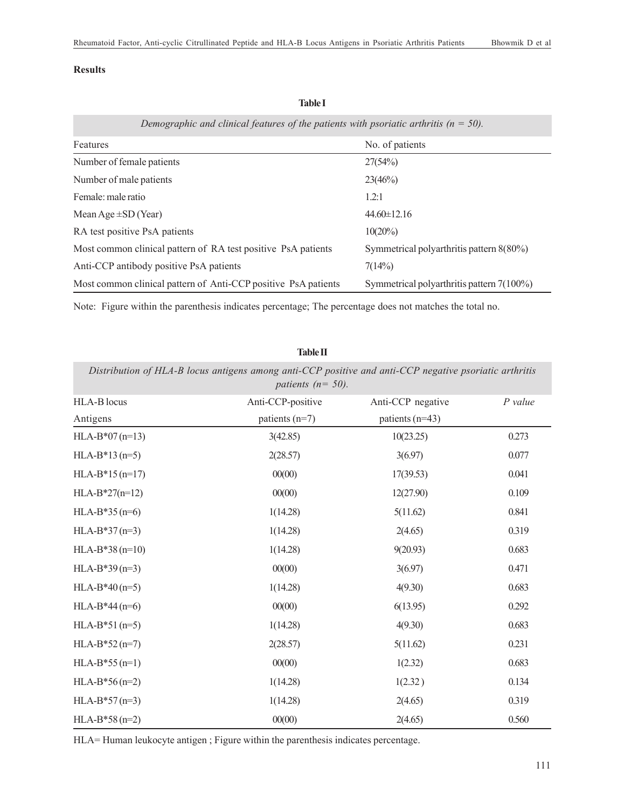#### **Results**

| Demographic and clinical features of the patients with psoriatic arthritis ( $n = 50$ ). |                                           |  |  |  |
|------------------------------------------------------------------------------------------|-------------------------------------------|--|--|--|
| Features                                                                                 | No. of patients                           |  |  |  |
| Number of female patients                                                                | 27(54%)                                   |  |  |  |
| Number of male patients                                                                  | 23(46%)                                   |  |  |  |
| Female: male ratio                                                                       | 1.2:1                                     |  |  |  |
| Mean Age $\pm SD$ (Year)                                                                 | $44.60 \pm 12.16$                         |  |  |  |
| RA test positive PsA patients                                                            | $10(20\%)$                                |  |  |  |
| Most common clinical pattern of RA test positive PsA patients                            | Symmetrical polyarthritis pattern 8(80%)  |  |  |  |
| Anti-CCP antibody positive PsA patients                                                  | 7(14%)                                    |  |  |  |
| Most common clinical pattern of Anti-CCP positive PsA patients                           | Symmetrical polyarthritis pattern 7(100%) |  |  |  |

Note: Figure within the parenthesis indicates percentage; The percentage does not matches the total no.

| <b>Table II</b>                                                                                                                  |                   |                   |           |  |  |  |
|----------------------------------------------------------------------------------------------------------------------------------|-------------------|-------------------|-----------|--|--|--|
| Distribution of HLA-B locus antigens among anti-CCP positive and anti-CCP negative psoriatic arthritis<br>patients ( $n = 50$ ). |                   |                   |           |  |  |  |
| HLA-B locus                                                                                                                      | Anti-CCP-positive | Anti-CCP negative | $P$ value |  |  |  |
| Antigens                                                                                                                         | patients (n=7)    | patients (n=43)   |           |  |  |  |
| $HLA-B*07(n=13)$                                                                                                                 | 3(42.85)          | 10(23.25)         | 0.273     |  |  |  |
| $HLA-B*13(n=5)$                                                                                                                  | 2(28.57)          | 3(6.97)           | 0.077     |  |  |  |
| $HLA-B*15(n=17)$                                                                                                                 | 00(00)            | 17(39.53)         | 0.041     |  |  |  |
| $HLA-B*27(n=12)$                                                                                                                 | 00(00)            | 12(27.90)         | 0.109     |  |  |  |
| $HLA-B*35(n=6)$                                                                                                                  | 1(14.28)          | 5(11.62)          | 0.841     |  |  |  |
| $HLA-B*37(n=3)$                                                                                                                  | 1(14.28)          | 2(4.65)           | 0.319     |  |  |  |
| $HLA-B*38(n=10)$                                                                                                                 | 1(14.28)          | 9(20.93)          | 0.683     |  |  |  |
| $HLA-B*39(n=3)$                                                                                                                  | 00(00)            | 3(6.97)           | 0.471     |  |  |  |
| $HLA-B*40(n=5)$                                                                                                                  | 1(14.28)          | 4(9.30)           | 0.683     |  |  |  |
| $HLA-B*44(n=6)$                                                                                                                  | 00(00)            | 6(13.95)          | 0.292     |  |  |  |
| $HLA-B*51(n=5)$                                                                                                                  | 1(14.28)          | 4(9.30)           | 0.683     |  |  |  |
| $HLA-B*52(n=7)$                                                                                                                  | 2(28.57)          | 5(11.62)          | 0.231     |  |  |  |
| $HLA-B*55(n=1)$                                                                                                                  | 00(00)            | 1(2.32)           | 0.683     |  |  |  |
| $HLA-B*56(n=2)$                                                                                                                  | 1(14.28)          | 1(2.32)           | 0.134     |  |  |  |
| $HLA-B*57(n=3)$                                                                                                                  | 1(14.28)          | 2(4.65)           | 0.319     |  |  |  |
| $HLA-B*58(n=2)$                                                                                                                  | 00(00)            | 2(4.65)           | 0.560     |  |  |  |

HLA= Human leukocyte antigen ; Figure within the parenthesis indicates percentage.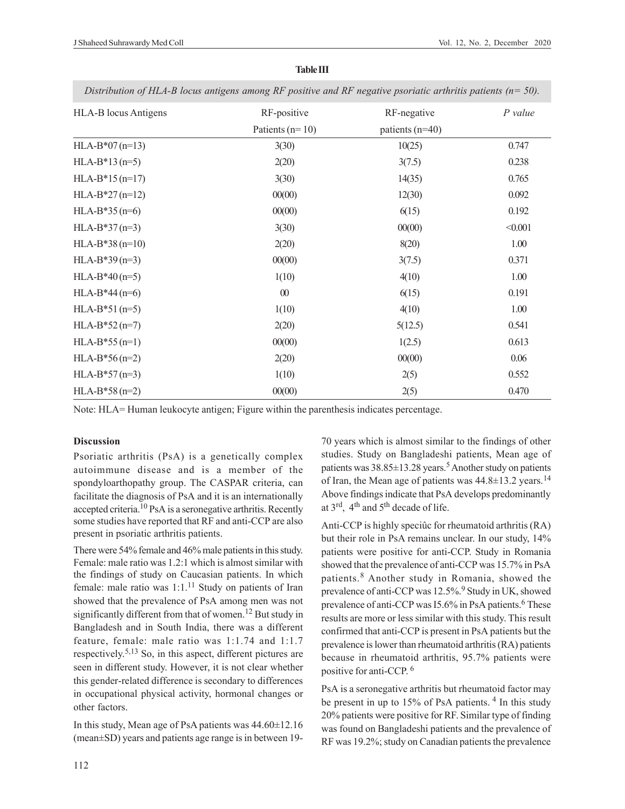| HLA-B locus Antigens | RF-positive         | RF-negative       | $P$ value |
|----------------------|---------------------|-------------------|-----------|
|                      | Patients ( $n=10$ ) | patients $(n=40)$ |           |
| $HLA-B*07(n=13)$     | 3(30)               | 10(25)            | 0.747     |
| $HLA-B*13(n=5)$      | 2(20)               | 3(7.5)            | 0.238     |
| $HLA-B*15(n=17)$     | 3(30)               | 14(35)            | 0.765     |
| $HLA-B*27(n=12)$     | 00(00)              | 12(30)            | 0.092     |
| $HLA-B*35(n=6)$      | 00(00)              | 6(15)             | 0.192     |
| $HLA-B*37(n=3)$      | 3(30)               | 00(00)            | < 0.001   |
| $HLA-B*38(n=10)$     | 2(20)               | 8(20)             | 1.00      |
| $HLA-B*39(n=3)$      | 00(00)              | 3(7.5)            | 0.371     |
| $HLA-B*40(n=5)$      | 1(10)               | 4(10)             | 1.00      |
| $HLA-B*44(n=6)$      | $\boldsymbol{00}$   | 6(15)             | 0.191     |
| $HLA-B*51(n=5)$      | 1(10)               | 4(10)             | 1.00      |
| $HLA-B*52(n=7)$      | 2(20)               | 5(12.5)           | 0.541     |
| $HLA-B*55(n=1)$      | 00(00)              | 1(2.5)            | 0.613     |
| $HLA-B*56(n=2)$      | 2(20)               | 00(00)            | 0.06      |
| $HLA-B*57(n=3)$      | 1(10)               | 2(5)              | 0.552     |
| $HLA-B*58(n=2)$      | 00(00)              | 2(5)              | 0.470     |

**Table III**

*Distribution of HLA-B locus antigens among RF positive and RF negative psoriatic arthritis patients (n= 50).*

Note: HLA= Human leukocyte antigen; Figure within the parenthesis indicates percentage.

#### **Discussion**

Psoriatic arthritis (PsA) is a genetically complex autoimmune disease and is a member of the spondyloarthopathy group. The CASPAR criteria, can facilitate the diagnosis of PsA and it is an internationally accepted criteria.10 PsA is a seronegative arthritis. Recently some studies have reported that RF and anti-CCP are also present in psoriatic arthritis patients.

There were 54% female and 46% male patients in this study. Female: male ratio was 1.2:1 which is almost similar with the findings of study on Caucasian patients. In which female: male ratio was  $1:1$ .<sup>11</sup> Study on patients of Iran showed that the prevalence of PsA among men was not significantly different from that of women.<sup>12</sup> But study in Bangladesh and in South India, there was a different feature, female: male ratio was 1:1.74 and 1:1.7 respectively.<sup>5,13</sup> So, in this aspect, different pictures are seen in different study. However, it is not clear whether this gender-related difference is secondary to differences in occupational physical activity, hormonal changes or other factors.

In this study, Mean age of PsA patients was 44.60±12.16 (mean±SD) years and patients age range is in between 1970 years which is almost similar to the findings of other studies. Study on Bangladeshi patients, Mean age of patients was  $38.85 \pm 13.28$  years.<sup>5</sup> Another study on patients of Iran, the Mean age of patients was  $44.8 \pm 13.2$  years.<sup>14</sup> Above findings indicate that PsA develops predominantly at 3rd, 4th and 5th decade of life.

Anti-CCP is highly speciûc for rheumatoid arthritis (RA) but their role in PsA remains unclear. In our study, 14% patients were positive for anti-CCP. Study in Romania showed that the prevalence of anti-CCP was 15.7% in PsA patients.<sup>8</sup> Another study in Romania, showed the prevalence of anti-CCP was 12.5%.<sup>9</sup> Study in UK, showed prevalence of anti-CCP was I5.6% in PsA patients.<sup>6</sup> These results are more or less similar with this study. This result confirmed that anti-CCP is present in PsA patients but the prevalence is lower than rheumatoid arthritis (RA) patients because in rheumatoid arthritis, 95.7% patients were positive for anti-CCP. 6

PsA is a seronegative arthritis but rheumatoid factor may be present in up to 15% of PsA patients.<sup>4</sup> In this study 20% patients were positive for RF. Similar type of finding was found on Bangladeshi patients and the prevalence of RF was 19.2%; study on Canadian patients the prevalence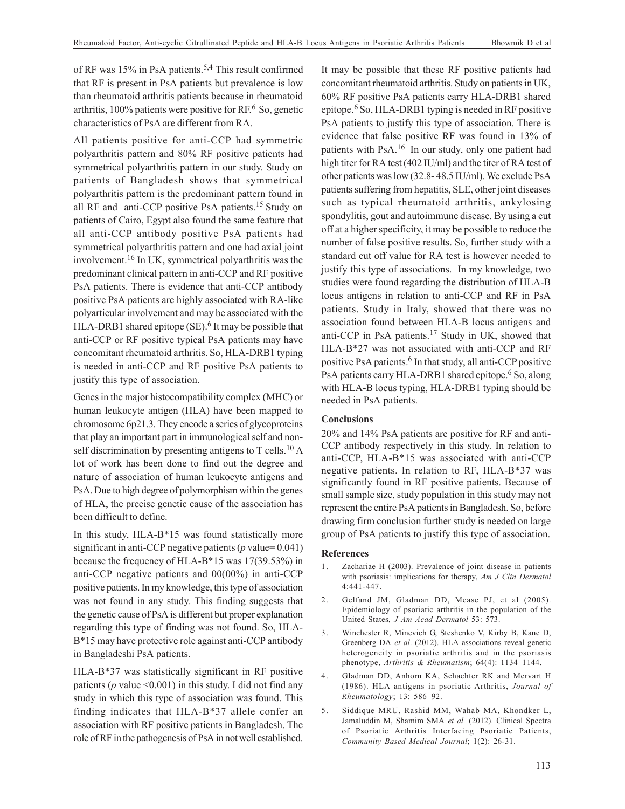of RF was 15% in PsA patients.<sup>5,4</sup> This result confirmed that RF is present in PsA patients but prevalence is low than rheumatoid arthritis patients because in rheumatoid arthritis, 100% patients were positive for RF.<sup>6</sup> So, genetic characteristics of PsA are different from RA.

All patients positive for anti-CCP had symmetric polyarthritis pattern and 80% RF positive patients had symmetrical polyarthritis pattern in our study. Study on patients of Bangladesh shows that symmetrical polyarthritis pattern is the predominant pattern found in all RF and anti-CCP positive PsA patients.<sup>15</sup> Study on patients of Cairo, Egypt also found the same feature that all anti-CCP antibody positive PsA patients had symmetrical polyarthritis pattern and one had axial joint involvement.16 In UK, symmetrical polyarthritis was the predominant clinical pattern in anti-CCP and RF positive PsA patients. There is evidence that anti-CCP antibody positive PsA patients are highly associated with RA-like polyarticular involvement and may be associated with the HLA-DRB1 shared epitope (SE).<sup>6</sup> It may be possible that anti-CCP or RF positive typical PsA patients may have concomitant rheumatoid arthritis. So, HLA-DRB1 typing is needed in anti-CCP and RF positive PsA patients to justify this type of association.

Genes in the major histocompatibility complex (MHC) or human leukocyte antigen (HLA) have been mapped to chromosome 6p21.3. They encode a series of glycoproteins that play an important part in immunological self and nonself discrimination by presenting antigens to  $T$  cells.<sup>10</sup> A lot of work has been done to find out the degree and nature of association of human leukocyte antigens and PsA. Due to high degree of polymorphism within the genes of HLA, the precise genetic cause of the association has been difficult to define.

In this study, HLA-B\*15 was found statistically more significant in anti-CCP negative patients (*p* value= 0.041) because the frequency of HLA-B\*15 was 17(39.53%) in anti-CCP negative patients and 00(00%) in anti-CCP positive patients. In my knowledge, this type of association was not found in any study. This finding suggests that the genetic cause of PsA is different but proper explanation regarding this type of finding was not found. So, HLA-B\*15 may have protective role against anti-CCP antibody in Bangladeshi PsA patients.

HLA-B\*37 was statistically significant in RF positive patients (*p* value <0.001) in this study. I did not find any study in which this type of association was found. This finding indicates that HLA-B\*37 allele confer an association with RF positive patients in Bangladesh. The role of RF in the pathogenesis of PsA in not well established. It may be possible that these RF positive patients had concomitant rheumatoid arthritis. Study on patients in UK, 60% RF positive PsA patients carry HLA-DRB1 shared epitope.<sup>6</sup> So, HLA-DRB1 typing is needed in RF positive PsA patients to justify this type of association. There is evidence that false positive RF was found in 13% of patients with PsA.16 In our study, only one patient had high titer for RA test (402 IU/ml) and the titer of RA test of other patients was low (32.8- 48.5 IU/ml). We exclude PsA patients suffering from hepatitis, SLE, other joint diseases such as typical rheumatoid arthritis, ankylosing spondylitis, gout and autoimmune disease. By using a cut off at a higher specificity, it may be possible to reduce the number of false positive results. So, further study with a standard cut off value for RA test is however needed to justify this type of associations. In my knowledge, two studies were found regarding the distribution of HLA-B locus antigens in relation to anti-CCP and RF in PsA patients. Study in Italy, showed that there was no association found between HLA-B locus antigens and anti-CCP in PsA patients.17 Study in UK, showed that HLA-B\*27 was not associated with anti-CCP and RF positive PsA patients.<sup>6</sup> In that study, all anti-CCP positive PsA patients carry HLA-DRB1 shared epitope.<sup>6</sup> So, along with HLA-B locus typing, HLA-DRB1 typing should be needed in PsA patients.

#### **Conclusions**

20% and 14% PsA patients are positive for RF and anti-CCP antibody respectively in this study. In relation to anti-CCP, HLA-B\*15 was associated with anti-CCP negative patients. In relation to RF, HLA-B\*37 was significantly found in RF positive patients. Because of small sample size, study population in this study may not represent the entire PsA patients in Bangladesh. So, before drawing firm conclusion further study is needed on large group of PsA patients to justify this type of association.

#### **References**

- 1. Zachariae H (2003). Prevalence of joint disease in patients with psoriasis: implications for therapy, *Am J Clin Dermatol* 4:441-447.
- 2. Gelfand JM, Gladman DD, Mease PJ, et al (2005). Epidemiology of psoriatic arthritis in the population of the United States, *J Am Acad Dermatol* 53: 573.
- 3. Winchester R, Minevich G, Steshenko V, Kirby B, Kane D, Greenberg DA *et al*. (2012). HLA associations reveal genetic heterogeneity in psoriatic arthritis and in the psoriasis phenotype, *Arthritis & Rheumatism*; 64(4): 1134–1144.
- 4. Gladman DD, Anhorn KA, Schachter RK and Mervart H (1986). HLA antigens in psoriatic Arthritis, *Journal of Rheumatology*; 13: 586–92.
- 5. Siddique MRU, Rashid MM, Wahab MA, Khondker L, Jamaluddin M, Shamim SMA *et al.* (2012). Clinical Spectra of Psoriatic Arthritis Interfacing Psoriatic Patients, *Community Based Medical Journal*; 1(2): 26-31.